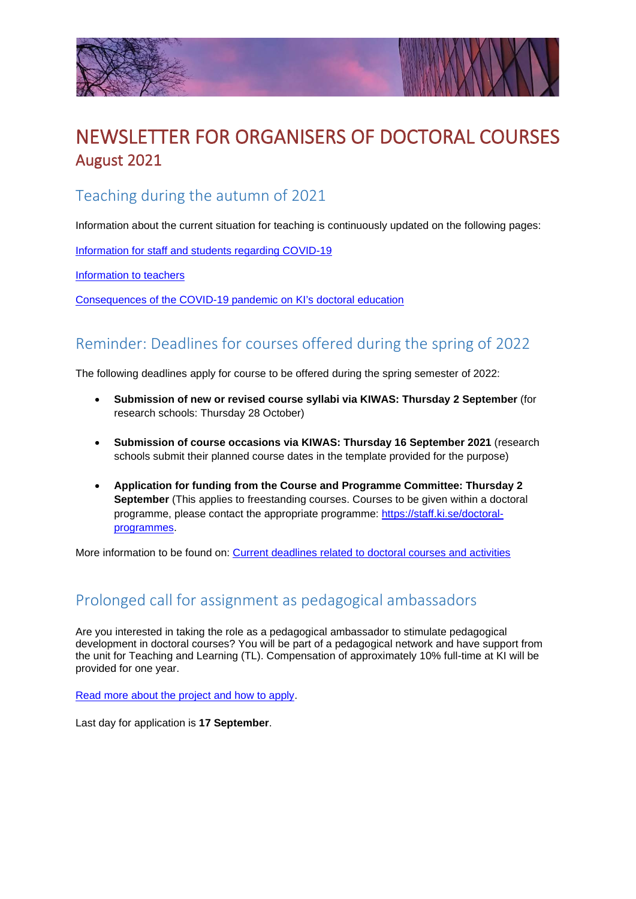



# NEWSLETTER FOR ORGANISERS OF DOCTORAL COURSES August 2021

#### Teaching during the autumn of 2021

Information about the current situation for teaching is continuously updated on the following pages:

[Information for staff and students regarding COVID-19](https://news.ki.se/information-for-staff-and-students-regarding-covid-19)

[Information to teachers](https://staff.ki.se/information-about-education-regarding-corona)

[Consequences of the COVID-19 pandemic on KI's doctoral education](https://staff.ki.se/consequences-of-the-covid-19-pandemic-on-kis-doctoral-education)

#### Reminder: Deadlines for courses offered during the spring of 2022

The following deadlines apply for course to be offered during the spring semester of 2022:

- **Submission of new or revised course syllabi via KIWAS: Thursday 2 September** (for research schools: Thursday 28 October)
- **Submission of course occasions via KIWAS: Thursday 16 September 2021** (research schools submit their planned course dates in the template provided for the purpose)
- **Application for funding from the Course and Programme Committee: Thursday 2 September** (This applies to freestanding courses. Courses to be given within a doctoral programme, please contact the appropriate programme: [https://staff.ki.se/doctoral](https://staff.ki.se/doctoral-programmes)[programmes.](https://staff.ki.se/doctoral-programmes)

More information to be found on: [Current deadlines related to doctoral courses and activities](https://staff.ki.se/current-deadlines-related-to-doctoral-courses-and-activities)

### Prolonged call for assignment as pedagogical ambassadors

Are you interested in taking the role as a pedagogical ambassador to stimulate pedagogical development in doctoral courses? You will be part of a pedagogical network and have support from the unit for Teaching and Learning (TL). Compensation of approximately 10% full-time at KI will be provided for one year.

[Read more about the project and how to apply.](https://news.ki.se/call-for-assignment-as-pedagogical-ambassadors-within-doctoral-education-new-deadline-17-september)

Last day for application is **17 September**.